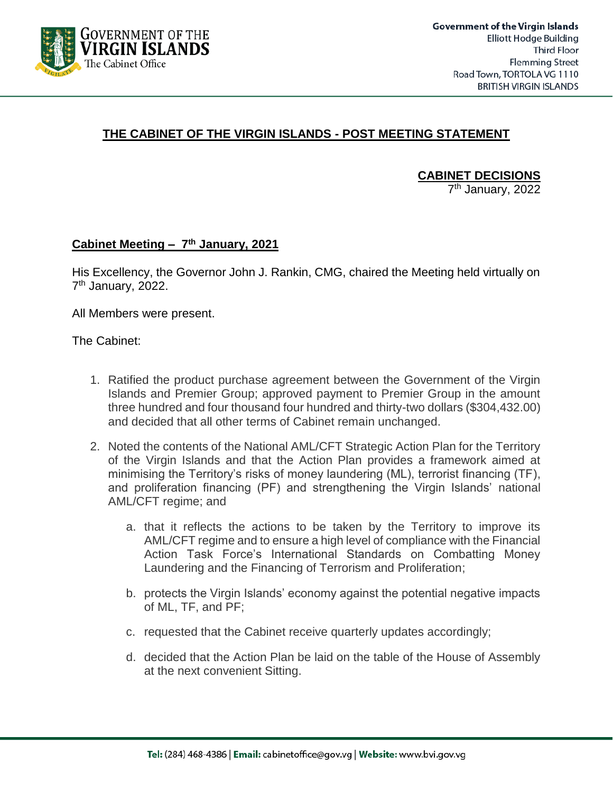

## **THE CABINET OF THE VIRGIN ISLANDS - POST MEETING STATEMENT**

**CABINET DECISIONS**

7<sup>th</sup> January, 2022

## **Cabinet Meeting – 7 th January, 2021**

His Excellency, the Governor John J. Rankin, CMG, chaired the Meeting held virtually on 7<sup>th</sup> January, 2022.

All Members were present.

The Cabinet:

- 1. Ratified the product purchase agreement between the Government of the Virgin Islands and Premier Group; approved payment to Premier Group in the amount three hundred and four thousand four hundred and thirty-two dollars (\$304,432.00) and decided that all other terms of Cabinet remain unchanged.
- 2. Noted the contents of the National AML/CFT Strategic Action Plan for the Territory of the Virgin Islands and that the Action Plan provides a framework aimed at minimising the Territory's risks of money laundering (ML), terrorist financing (TF), and proliferation financing (PF) and strengthening the Virgin Islands' national AML/CFT regime; and
	- a. that it reflects the actions to be taken by the Territory to improve its AML/CFT regime and to ensure a high level of compliance with the Financial Action Task Force's International Standards on Combatting Money Laundering and the Financing of Terrorism and Proliferation;
	- b. protects the Virgin Islands' economy against the potential negative impacts of ML, TF, and PF;
	- c. requested that the Cabinet receive quarterly updates accordingly;
	- d. decided that the Action Plan be laid on the table of the House of Assembly at the next convenient Sitting.